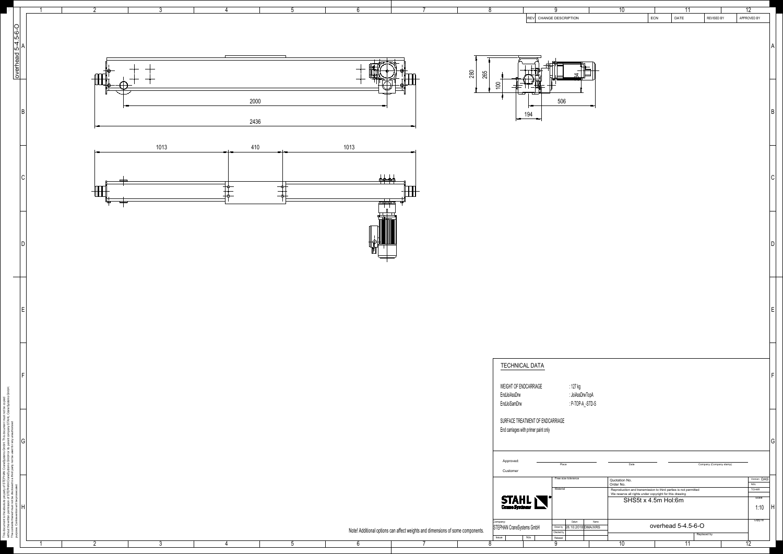

|                                   |            | $\overline{8}$               |                                                                                    | $\overline{9}$             |                                                  |      | $\overline{10}$                                                                                                           |                     | $\overline{11}$    |                         | $\overline{12}$           |              |
|-----------------------------------|------------|------------------------------|------------------------------------------------------------------------------------|----------------------------|--------------------------------------------------|------|---------------------------------------------------------------------------------------------------------------------------|---------------------|--------------------|-------------------------|---------------------------|--------------|
|                                   |            |                              | REV CHANGE DESCRIPTION                                                             |                            |                                                  |      |                                                                                                                           | ECN                 | DATE               | <b>REVISED BY</b>       | APPROVED BY               | A            |
|                                   | 280<br>265 | 100                          | لل<br>194                                                                          | 506                        | 84                                               |      |                                                                                                                           |                     |                    |                         |                           | $\sf B$      |
|                                   |            |                              |                                                                                    |                            |                                                  |      |                                                                                                                           |                     |                    |                         |                           |              |
|                                   |            |                              |                                                                                    |                            |                                                  |      |                                                                                                                           |                     |                    |                         |                           | $\mathsf C$  |
|                                   |            |                              |                                                                                    |                            |                                                  |      |                                                                                                                           |                     |                    |                         |                           | $\mathsf{D}$ |
|                                   |            |                              |                                                                                    |                            |                                                  |      |                                                                                                                           |                     |                    |                         |                           | E            |
|                                   |            | EndJoiAssDrw<br>EndJoiSamDrw | <b>TECHNICAL DATA</b><br>WEIGHT OF ENDCARRIAGE<br>SURFACE TREATMENT OF ENDCARRIAGE |                            | :127 kg<br>: JoiAssDrwTopA<br>$: P-TOP-A$ -STD-S |      |                                                                                                                           |                     |                    |                         |                           | F            |
|                                   |            | Approved:                    | End carriages with primer paint only                                               | Place                      |                                                  |      | Date                                                                                                                      |                     |                    | Company (Company stamp) |                           | G            |
|                                   |            | Customer                     |                                                                                    | Free size tolerance        |                                                  |      |                                                                                                                           |                     |                    |                         |                           |              |
|                                   |            |                              |                                                                                    |                            |                                                  |      | Quotation No.<br>Order No.                                                                                                |                     |                    |                         | Version DAS<br><b>NSL</b> |              |
|                                   |            |                              |                                                                                    | Material                   |                                                  |      | Reproduction and transmission to third parties is not permitted<br>We reserve all rights under copyright for this drawing |                     |                    |                         | <b>TCHAR</b><br>Scale     |              |
|                                   |            |                              | STAHL                                                                              |                            |                                                  |      |                                                                                                                           | SHS5t x 4.5m Hol:6m |                    |                         | 1:10                      | H            |
|                                   |            | Company:                     |                                                                                    |                            | Datum                                            | Name |                                                                                                                           |                     |                    |                         | Copy to                   |              |
| nd dimensions of some components. |            |                              | STEPHAN CraneSystems GmbH                                                          | Checked by                 | Drown by 28.10.2018 DMA/XRS                      |      |                                                                                                                           |                     | overhead 5-4.5-6-O |                         |                           |              |
|                                   |            | Issue<br>$\overline{8}$      | N/a                                                                                | Released<br>$\overline{9}$ |                                                  |      | $\overline{10}$                                                                                                           |                     | $\overline{11}$    | Replaced by             | $\overline{12}$           |              |
|                                   |            |                              |                                                                                    |                            |                                                  |      |                                                                                                                           |                     |                    |                         |                           |              |